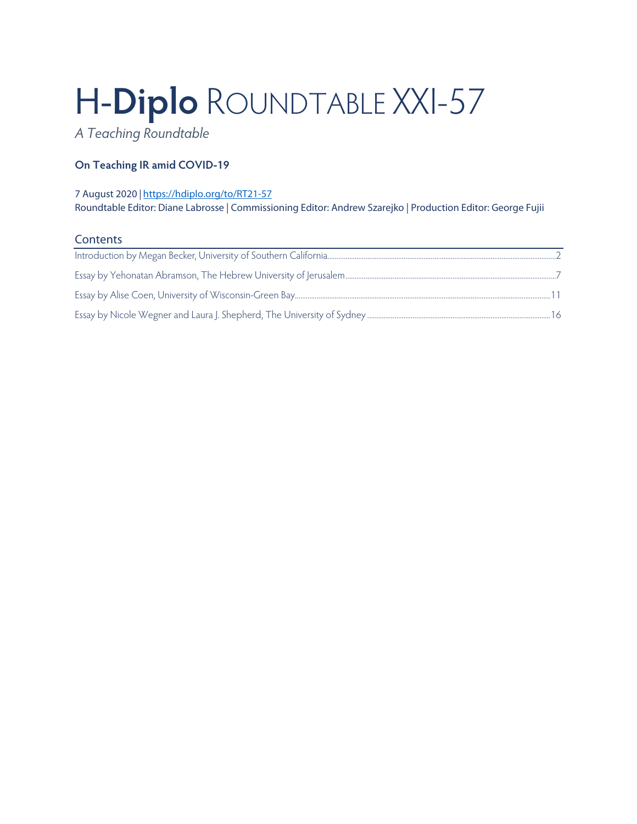# H-**Diplo** ROUNDTABLE XXI-57

*A Teaching Roundtable*

# **On Teaching IR amid COVID-19**

# 7 August 2020 *|* <https://hdiplo.org/to/RT21-57> Roundtable Editor: Diane Labrosse | Commissioning Editor: Andrew Szarejko | Production Editor: George Fujii

# **Contents**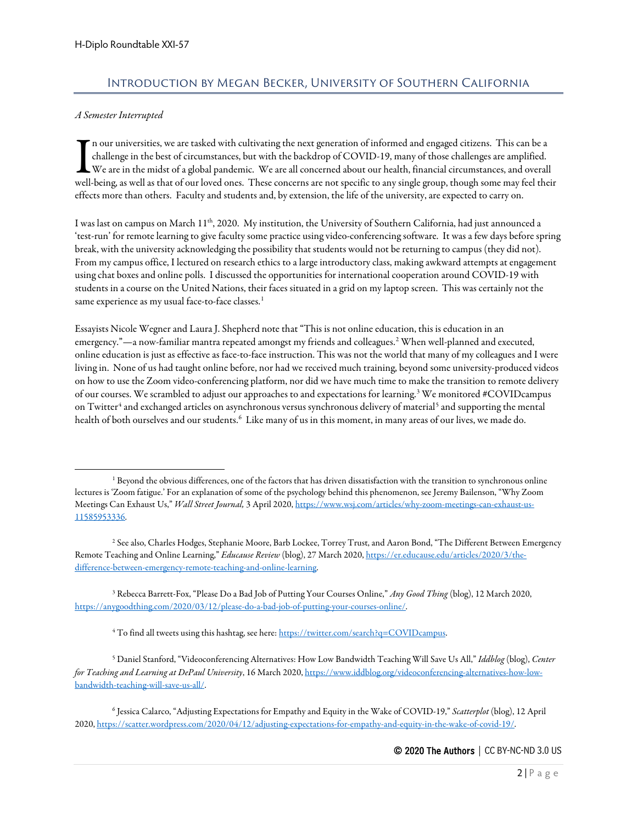# Introduction by Megan Becker, University of Southern California

## <span id="page-1-0"></span>*A Semester Interrupted*

n our universities, we are tasked with cultivating the next generation of informed and engaged citizens. This can be a challenge in the best of circumstances, but with the backdrop of COVID-19, many of those challenges are amplified. We are in the midst of a global pandemic. We are all concerned about our health, financial circumstances, and overall In our universities, we are tasked with cultivating the next generation of informed and engaged citizens. This can be a challenge in the best of circumstances, but with the backdrop of COVID-19, many of those challenges ar effects more than others. Faculty and students and, by extension, the life of the university, are expected to carry on.

I was last on campus on March 11<sup>th</sup>, 2020. My institution, the University of Southern California, had just announced a 'test-run' for remote learning to give faculty some practice using video-conferencing software. It was a few days before spring break, with the university acknowledging the possibility that students would not be returning to campus (they did not). From my campus office, I lectured on research ethics to a large introductory class, making awkward attempts at engagement using chat boxes and online polls. I discussed the opportunities for international cooperation around COVID-19 with students in a course on the United Nations, their faces situated in a grid on my laptop screen. This was certainly not the same experience as my usual face-to-face classes.<sup>[1](#page-1-1)</sup>

Essayists Nicole Wegner and Laura J. Shepherd note that "This is not online education, this is education in an emergency."—a now-familiar mantra repeated amongst my friends and colleagues. [2](#page-1-2) When well-planned and executed, online education is just as effective as face-to-face instruction. This was not the world that many of my colleagues and I were living in. None of us had taught online before, nor had we received much training, beyond some university-produced videos on how to use the Zoom video-conferencing platform, nor did we have much time to make the transition to remote delivery of our courses. We scrambled to adjust our approaches to and expectations for learning.[3](#page-1-3) We monitored #COVIDcampus on Twitter<sup>[4](#page-1-4)</sup> and exchanged articles on asynchronous versus synchronous delivery of material<sup>[5](#page-1-5)</sup> and supporting the mental health of both ourselves and our students. $^6$  $^6$  Like many of us in this moment, in many areas of our lives, we made do.

<span id="page-1-2"></span><sup>2</sup> See also, Charles Hodges, Stephanie Moore, Barb Lockee, Torrey Trust, and Aaron Bond, "The Different Between Emergency Remote Teaching and Online Learning," *Educause Review* (blog), 27 March 2020[, https://er.educause.edu/articles/2020/3/the](https://er.educause.edu/articles/2020/3/the-difference-between-emergency-remote-teaching-and-online-learning)[difference-between-emergency-remote-teaching-and-online-learning.](https://er.educause.edu/articles/2020/3/the-difference-between-emergency-remote-teaching-and-online-learning)

<span id="page-1-3"></span><sup>3</sup> Rebecca Barrett-Fox, "Please Do a Bad Job of Putting Your Courses Online," *Any Good Thing* (blog), 12 March 2020, [https://anygoodthing.com/2020/03/12/please-do-a-bad-job-of-putting-your-courses-online/.](https://anygoodthing.com/2020/03/12/please-do-a-bad-job-of-putting-your-courses-online/)

<sup>4</sup> To find all tweets using this hashtag, see here[: https://twitter.com/search?q=COVIDcampus.](https://twitter.com/search?q=COVIDcampus)

<span id="page-1-5"></span><span id="page-1-4"></span><sup>5</sup> Daniel Stanford, "Videoconferencing Alternatives: How Low Bandwidth Teaching Will Save Us All," *Iddblog* (blog), *Center for Teaching and Learning at DePaul University*, 16 March 2020[, https://www.iddblog.org/videoconferencing-alternatives-how-low](https://www.iddblog.org/videoconferencing-alternatives-how-low-bandwidth-teaching-will-save-us-all/)[bandwidth-teaching-will-save-us-all/.](https://www.iddblog.org/videoconferencing-alternatives-how-low-bandwidth-teaching-will-save-us-all/)

<span id="page-1-6"></span><sup>6</sup> Jessica Calarco, "Adjusting Expectations for Empathy and Equity in the Wake of COVID-19," *Scatterplot* (blog), 12 April 2020[, https://scatter.wordpress.com/2020/04/12/adjusting-expectations-for-empathy-and-equity-in-the-wake-of-covid-19/.](https://scatter.wordpress.com/2020/04/12/adjusting-expectations-for-empathy-and-equity-in-the-wake-of-covid-19/)

<span id="page-1-1"></span><sup>&</sup>lt;sup>1</sup> Beyond the obvious differences, one of the factors that has driven dissatisfaction with the transition to synchronous online lectures is 'Zoom fatigue.' For an explanation of some of the psychology behind this phenomenon, see Jeremy Bailenson, "Why Zoom Meetings Can Exhaust Us," *Wall Street Journal,* 3 April 2020[, https://www.wsj.com/articles/why-zoom-meetings-can-exhaust-us-](https://www.wsj.com/articles/why-zoom-meetings-can-exhaust-us-11585953336)[11585953336.](https://www.wsj.com/articles/why-zoom-meetings-can-exhaust-us-11585953336)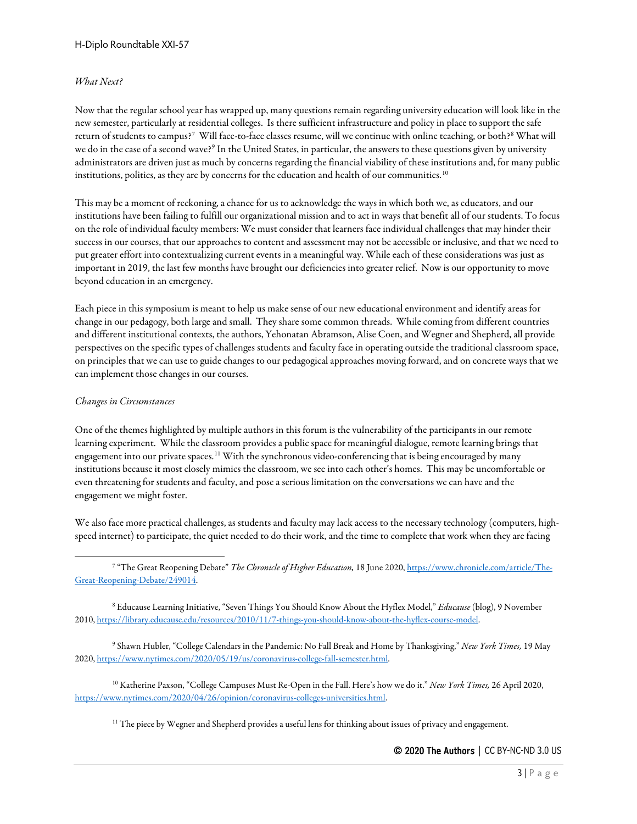### *What Next?*

Now that the regular school year has wrapped up, many questions remain regarding university education will look like in the new semester, particularly at residential colleges. Is there sufficient infrastructure and policy in place to support the safe return of students to campus? $^7\,$  $^7\,$  $^7\,$  Will face-to-face classes resume, will we continue with online teaching, or both? $^8\,$  $^8\,$  $^8\,$  What will we do in the case of a second wave?<sup>[9](#page-2-2)</sup> In the United States, in particular, the answers to these questions given by university administrators are driven just as much by concerns regarding the financial viability of these institutions and, for many public institutions, politics, as they are by concerns for the education and health of our communities.<sup>[10](#page-2-3)</sup>

This may be a moment of reckoning, a chance for us to acknowledge the ways in which both we, as educators, and our institutions have been failing to fulfill our organizational mission and to act in ways that benefit all of our students. To focus on the role of individual faculty members: We must consider that learners face individual challenges that may hinder their success in our courses, that our approaches to content and assessment may not be accessible or inclusive, and that we need to put greater effort into contextualizing current events in a meaningful way. While each of these considerations was just as important in 2019, the last few months have brought our deficiencies into greater relief. Now is our opportunity to move beyond education in an emergency.

Each piece in this symposium is meant to help us make sense of our new educational environment and identify areas for change in our pedagogy, both large and small. They share some common threads. While coming from different countries and different institutional contexts, the authors, Yehonatan Abramson, Alise Coen, and Wegner and Shepherd, all provide perspectives on the specific types of challenges students and faculty face in operating outside the traditional classroom space, on principles that we can use to guide changes to our pedagogical approaches moving forward, and on concrete ways that we can implement those changes in our courses.

#### *Changes in Circumstances*

One of the themes highlighted by multiple authors in this forum is the vulnerability of the participants in our remote learning experiment. While the classroom provides a public space for meaningful dialogue, remote learning brings that engagement into our private spaces.[11](#page-2-4) With the synchronous video-conferencing that is being encouraged by many institutions because it most closely mimics the classroom, we see into each other's homes. This may be uncomfortable or even threatening for students and faculty, and pose a serious limitation on the conversations we can have and the engagement we might foster.

We also face more practical challenges, as students and faculty may lack access to the necessary technology (computers, highspeed internet) to participate, the quiet needed to do their work, and the time to complete that work when they are facing

<span id="page-2-0"></span><sup>7</sup> "The Great Reopening Debate" *The Chronicle of Higher Education,* 18 June 2020[, https://www.chronicle.com/article/The-](https://www.chronicle.com/article/The-Great-Reopening-Debate/249014)[Great-Reopening-Debate/249014.](https://www.chronicle.com/article/The-Great-Reopening-Debate/249014)

<span id="page-2-1"></span><sup>8</sup> Educause Learning Initiative, "Seven Things You Should Know About the Hyflex Model," *Educause* (blog), 9 November 2010[, https://library.educause.edu/resources/2010/11/7-things-you-should-know-about-the-hyflex-course-model.](https://library.educause.edu/resources/2010/11/7-things-you-should-know-about-the-hyflex-course-model)

<span id="page-2-2"></span><sup>9</sup> Shawn Hubler, "College Calendars in the Pandemic: No Fall Break and Home by Thanksgiving," *New York Times,* 19 May 2020, [https://www.nytimes.com/2020/05/19/us/coronavirus-college-fall-semester.html.](https://www.nytimes.com/2020/05/19/us/coronavirus-college-fall-semester.html)

<span id="page-2-4"></span><span id="page-2-3"></span><sup>10</sup> Katherine Paxson, "College Campuses Must Re-Open in the Fall. Here's how we do it." *New York Times,* 26 April 2020, [https://www.nytimes.com/2020/04/26/opinion/coronavirus-colleges-universities.html.](https://www.nytimes.com/2020/04/26/opinion/coronavirus-colleges-universities.html)

<sup>11</sup> The piece by Wegner and Shepherd provides a useful lens for thinking about issues of privacy and engagement.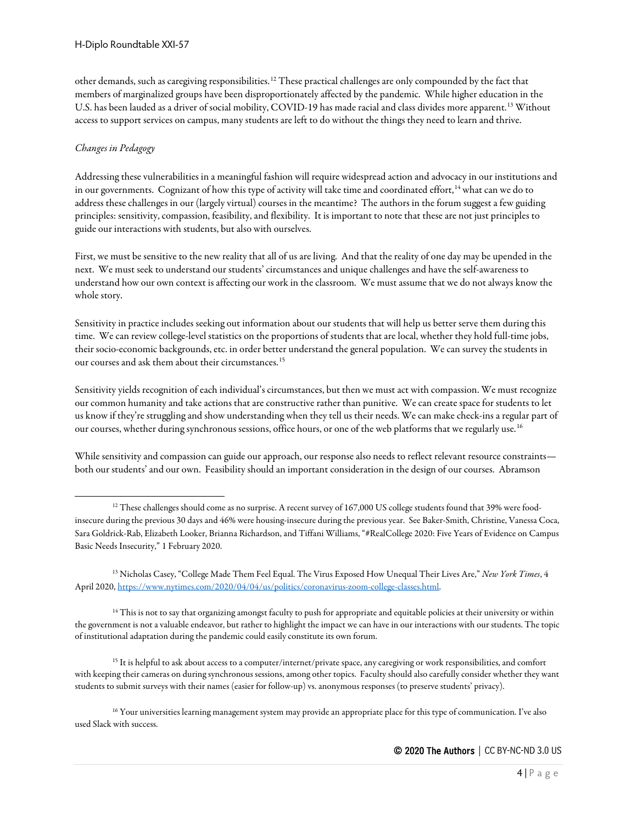other demands, such as caregiving responsibilities. [12](#page-3-0) These practical challenges are only compounded by the fact that members of marginalized groups have been disproportionately affected by the pandemic. While higher education in the U.S. has been lauded as a driver of social mobility, COVID-19 has made racial and class divides more apparent.<sup>[13](#page-3-1)</sup> Without access to support services on campus, many students are left to do without the things they need to learn and thrive.

## *Changes in Pedagogy*

Addressing these vulnerabilities in a meaningful fashion will require widespread action and advocacy in our institutions and in our governments. Cognizant of how this type of activity will take time and coordinated effort, [14](#page-3-2) what can we do to address these challenges in our (largely virtual) courses in the meantime? The authors in the forum suggest a few guiding principles: sensitivity, compassion, feasibility, and flexibility. It is important to note that these are not just principles to guide our interactions with students, but also with ourselves.

First, we must be sensitive to the new reality that all of us are living. And that the reality of one day may be upended in the next. We must seek to understand our students' circumstances and unique challenges and have the self-awareness to understand how our own context is affecting our work in the classroom. We must assume that we do not always know the whole story.

Sensitivity in practice includes seeking out information about our students that will help us better serve them during this time. We can review college-level statistics on the proportions of students that are local, whether they hold full-time jobs, their socio-economic backgrounds, etc. in order better understand the general population. We can survey the students in our courses and ask them about their circumstances.<sup>[15](#page-3-3)</sup>

Sensitivity yields recognition of each individual's circumstances, but then we must act with compassion. We must recognize our common humanity and take actions that are constructive rather than punitive. We can create space for students to let us know if they're struggling and show understanding when they tell us their needs. We can make check-ins a regular part of our courses, whether during synchronous sessions, office hours, or one of the web platforms that we regularly use.<sup>[16](#page-3-4)</sup>

While sensitivity and compassion can guide our approach, our response also needs to reflect relevant resource constraints both our students' and our own. Feasibility should an important consideration in the design of our courses. Abramson

<span id="page-3-0"></span><sup>&</sup>lt;sup>12</sup> These challenges should come as no surprise. A recent survey of 167,000 US college students found that 39% were foodinsecure during the previous 30 days and 46% were housing-insecure during the previous year. See Baker-Smith, Christine, Vanessa Coca, Sara Goldrick-Rab, Elizabeth Looker, Brianna Richardson, and Tiffani Williams, "#RealCollege 2020: Five Years of Evidence on Campus Basic Needs Insecurity," 1 February 2020.

<span id="page-3-1"></span><sup>13</sup> Nicholas Casey, "College Made Them Feel Equal. The Virus Exposed How Unequal Their Lives Are," *New York Times*, 4 April 2020[, https://www.nytimes.com/2020/04/04/us/politics/coronavirus-zoom-college-classes.html.](https://www.nytimes.com/2020/04/04/us/politics/coronavirus-zoom-college-classes.html)

<span id="page-3-2"></span><sup>&</sup>lt;sup>14</sup> This is not to say that organizing amongst faculty to push for appropriate and equitable policies at their university or within the government is not a valuable endeavor, but rather to highlight the impact we can have in our interactions with our students. The topic of institutional adaptation during the pandemic could easily constitute its own forum.

<span id="page-3-3"></span><sup>&</sup>lt;sup>15</sup> It is helpful to ask about access to a computer/internet/private space, any caregiving or work responsibilities, and comfort with keeping their cameras on during synchronous sessions, among other topics. Faculty should also carefully consider whether they want students to submit surveys with their names (easier for follow-up) vs. anonymous responses (to preserve students' privacy).

<span id="page-3-4"></span><sup>&</sup>lt;sup>16</sup> Your universities learning management system may provide an appropriate place for this type of communication. I've also used Slack with success.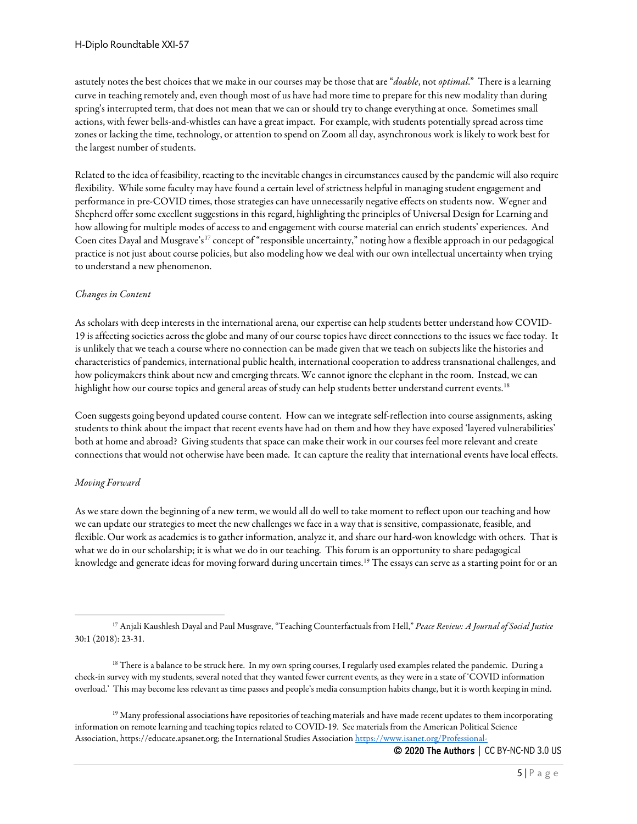astutely notes the best choices that we make in our courses may be those that are "*doable*, not *optimal*." There is a learning curve in teaching remotely and, even though most of us have had more time to prepare for this new modality than during spring's interrupted term, that does not mean that we can or should try to change everything at once. Sometimes small actions, with fewer bells-and-whistles can have a great impact. For example, with students potentially spread across time zones or lacking the time, technology, or attention to spend on Zoom all day, asynchronous work is likely to work best for the largest number of students.

Related to the idea of feasibility, reacting to the inevitable changes in circumstances caused by the pandemic will also require flexibility. While some faculty may have found a certain level of strictness helpful in managing student engagement and performance in pre-COVID times, those strategies can have unnecessarily negative effects on students now. Wegner and Shepherd offer some excellent suggestions in this regard, highlighting the principles of Universal Design for Learning and how allowing for multiple modes of access to and engagement with course material can enrich students' experiences. And Coen cites Dayal and Musgrave's<sup>[17](#page-4-0)</sup> concept of "responsible uncertainty," noting how a flexible approach in our pedagogical practice is not just about course policies, but also modeling how we deal with our own intellectual uncertainty when trying to understand a new phenomenon.

#### *Changes in Content*

As scholars with deep interests in the international arena, our expertise can help students better understand how COVID-19 is affecting societies across the globe and many of our course topics have direct connections to the issues we face today. It is unlikely that we teach a course where no connection can be made given that we teach on subjects like the histories and characteristics of pandemics, international public health, international cooperation to address transnational challenges, and how policymakers think about new and emerging threats. We cannot ignore the elephant in the room. Instead, we can highlight how our course topics and general areas of study can help students better understand current events.<sup>[18](#page-4-1)</sup>

Coen suggests going beyond updated course content. How can we integrate self-reflection into course assignments, asking students to think about the impact that recent events have had on them and how they have exposed 'layered vulnerabilities' both at home and abroad? Giving students that space can make their work in our courses feel more relevant and create connections that would not otherwise have been made. It can capture the reality that international events havelocal effects.

## *Moving Forward*

As we stare down the beginning of a new term, we would all do well to take moment to reflect upon our teaching and how we can update our strategies to meet the new challenges we facein a way that is sensitive, compassionate, feasible, and flexible. Our work as academics is to gather information, analyze it, and share our hard-won knowledge with others. That is what we do in our scholarship; it is what we do in our teaching. This forum is an opportunity to share pedagogical knowledge and generate ideas for moving forward during uncertain times.<sup>[19](#page-4-2)</sup> The essays can serve as a starting point for or an

<span id="page-4-2"></span><sup>19</sup> Many professional associations have repositories of teaching materials and have made recent updates to them incorporating information on remote learning and teaching topics related to COVID-19. See materials from the American Political Science Association, https://educate.apsanet.org; the International Studies Associatio[n https://www.isanet.org/Professional-](https://www.isanet.org/Professional-Resources/Teaching)

<span id="page-4-0"></span><sup>17</sup> Anjali Kaushlesh Dayal and Paul Musgrave, "Teaching Counterfactuals from Hell," *Peace Review: A Journal of Social Justice*  30:1 (2018): 23-31.

<span id="page-4-1"></span><sup>&</sup>lt;sup>18</sup> There is a balance to be struck here. In my own spring courses, I regularly used examples related the pandemic. During a check-in survey with my students, several noted that they wanted fewer current events, as they were in a state of 'COVID information overload.' This may become less relevant as time passes and people's media consumption habits change, but it is worth keeping in mind.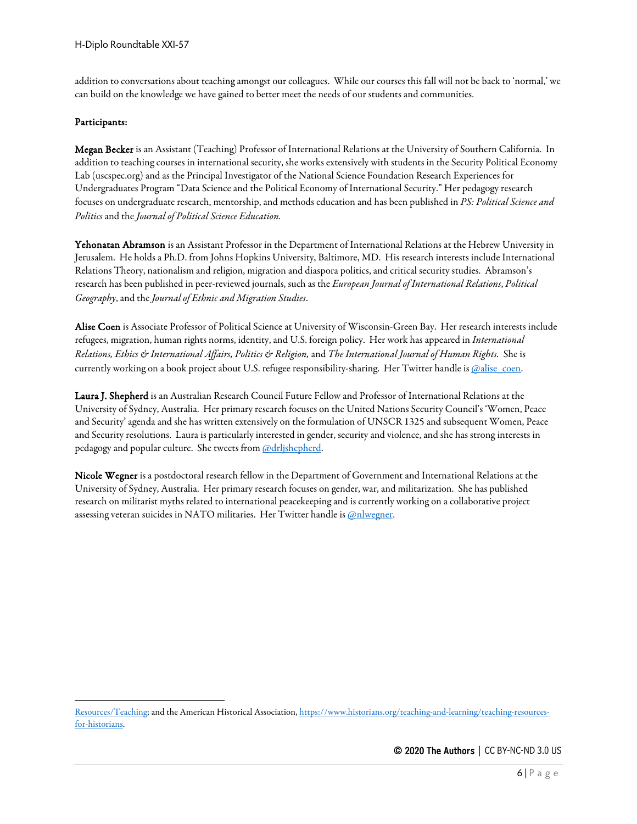addition to conversations about teaching amongst our colleagues. While our courses this fall will not be back to 'normal,' we can build on the knowledge we have gained to better meet the needs of our students and communities.

# Participants:

Megan Becker is an Assistant (Teaching) Professor of International Relations at the University of Southern California. In addition to teaching courses in international security, she works extensively with students in the Security Political Economy Lab (uscspec.org) and as the Principal Investigator of the National Science Foundation Research Experiences for Undergraduates Program "Data Science and the Political Economy of International Security." Her pedagogy research focuses on undergraduateresearch, mentorship, and methods education and has been published in *PS: Political Science and Politics* and the *Journal of Political Science Education.* 

Yehonatan Abramson is an Assistant Professor in the Department of International Relations at the Hebrew University in Jerusalem. He holds a Ph.D. from Johns Hopkins University, Baltimore, MD. His research interests include International Relations Theory, nationalism and religion, migration and diaspora politics, and critical security studies. Abramson's research has been published in peer-reviewed journals, such as the *European Journal of International Relations*, *Political Geography*, and the *Journal of Ethnic and Migration Studies*.

Alise Coen is Associate Professor of Political Science at University of Wisconsin-Green Bay. Her research interests include refugees, migration, human rights norms, identity, and U.S. foreign policy. Her work has appeared in *International Relations, Ethics & International Affairs, Politics & Religion,*and *The International Journal of Human Rights.* She is currently working on a book project about U.S. refugee responsibility-sharing. Her Twitter handle i[s @alise\\_coen.](https://twitter.com/alise_coen)

Laura J. Shepherd is an Australian Research Council Future Fellow and Professor of International Relations at the University of Sydney, Australia. Her primary research focuses on the United Nations Security Council's 'Women, Peace and Security' agenda and she has written extensively on the formulation of UNSCR 1325 and subsequent Women, Peace and Security resolutions. Laura is particularly interested in gender, security and violence, and she has strong interests in pedagogy and popular culture. She tweets fro[m @drljshepherd.](https://twitter.com/drljshepherd) 

Nicole Wegner is a postdoctoral research fellow in the Department of Government and International Relations at the University of Sydney, Australia. Her primary research focuses on gender, war, and militarization. She has published research on militarist myths related to international peacekeeping and is currently working on a collaborative project assessing veteran suicides in NATO militaries. Her Twitter handle is **@nlwegner**.

[Resources/Teaching;](https://www.isanet.org/Professional-Resources/Teaching) and the American Historical Association[, https://www.historians.org/teaching-and-learning/teaching-resources](https://www.historians.org/teaching-and-learning/teaching-resources-for-historians)[for-historians.](https://www.historians.org/teaching-and-learning/teaching-resources-for-historians)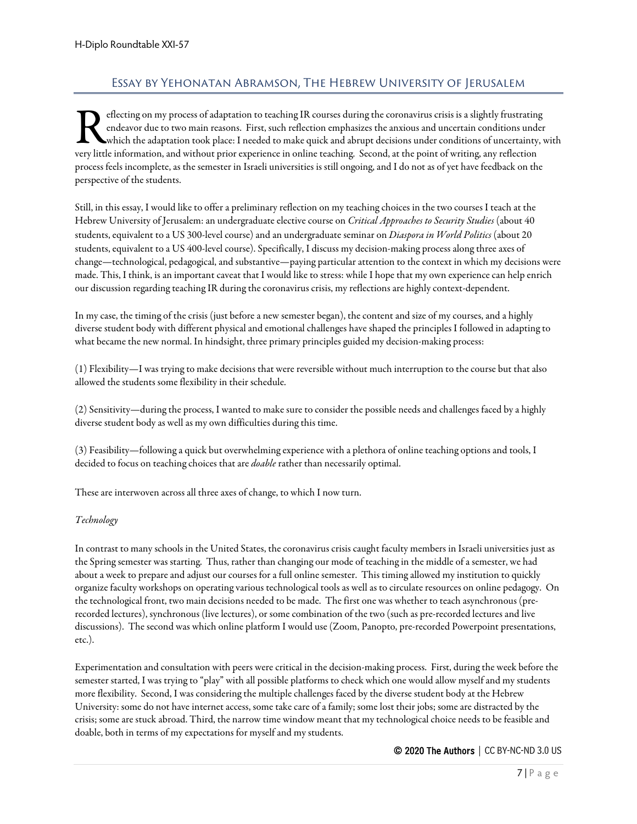# Essay by Yehonatan Abramson, The Hebrew University of Jerusalem

<span id="page-6-0"></span>eflecting on my process of adaptation to teaching IR courses during the coronavirus crisis is a slightly frustrating endeavor due to two main reasons. First, such reflection emphasizes the anxious and uncertain conditions under which the adaptation took place: I needed to make quick and abrupt decisions under conditions of uncertainty, with very little information, and without prior experience in online teaching. Second, at the point of writing, any reflection experience in online teaching. Second, at the point of writing, any reflection experience in online process feels incomplete, as the semester in Israeli universities is still ongoing, and I do not as of yet have feedback on the perspective of the students.

Still, in this essay, I would like to offer a preliminary reflection on my teaching choices in the two courses I teach at the Hebrew University of Jerusalem: an undergraduate elective course on *Critical Approaches to Security Studies* (about 40 students, equivalent to a US 300-level course) and an undergraduate seminar on *Diaspora in World Politics* (about 20 students, equivalent to a US 400-level course). Specifically, I discuss my decision-making process along three axes of change—technological, pedagogical, and substantive—paying particular attention to the context in which my decisions were made. This, I think, is an important caveat that I would like to stress: while I hope that my own experience can help enrich our discussion regarding teaching IR during the coronavirus crisis, my reflections are highly context-dependent.

In my case, the timing of the crisis (just before a new semester began), the content and size of my courses, and a highly diverse student body with different physical and emotional challenges have shaped the principles I followed in adapting to what became the new normal. In hindsight, three primary principles guided my decision-making process:

(1) Flexibility—I was trying to make decisions that were reversible without much interruption to the course but that also allowed the students some flexibility in their schedule.

(2) Sensitivity—during the process, I wanted to make sure to consider the possible needs and challenges faced by a highly diverse student body as well as my own difficulties during this time.

(3) Feasibility—following a quick but overwhelming experience with a plethora of online teaching options and tools, I decided to focus on teaching choices that are *doable* rather than necessarily optimal.

These are interwoven across all three axes of change, to which I now turn.

#### *Technology*

In contrast to many schools in the United States, the coronavirus crisis caught faculty members in Israeli universities just as the Spring semester was starting. Thus, rather than changing our mode of teaching in the middle of a semester, we had about a week to prepare and adjust our courses for a full online semester. This timing allowed my institution to quickly organize faculty workshops on operating various technological tools as well as to circulate resources on online pedagogy. On the technological front, two main decisions needed to be made. The first one was whether to teach asynchronous (prerecorded lectures), synchronous (livelectures), or some combination of the two (such as pre-recorded lectures and live discussions). The second was which online platform I would use (Zoom, Panopto, pre-recorded Powerpoint presentations, etc.).

Experimentation and consultation with peers were critical in the decision-making process. First, during the week before the semester started, I was trying to "play" with all possible platforms to check which one would allow myself and my students more flexibility. Second, I was considering the multiple challenges faced by the diverse student body at the Hebrew University: some do not have internet access, some take care of a family; some lost their jobs; some are distracted by the crisis; some are stuck abroad. Third, the narrow time window meant that my technological choice needs to be feasible and doable, both in terms of my expectations for myself and my students.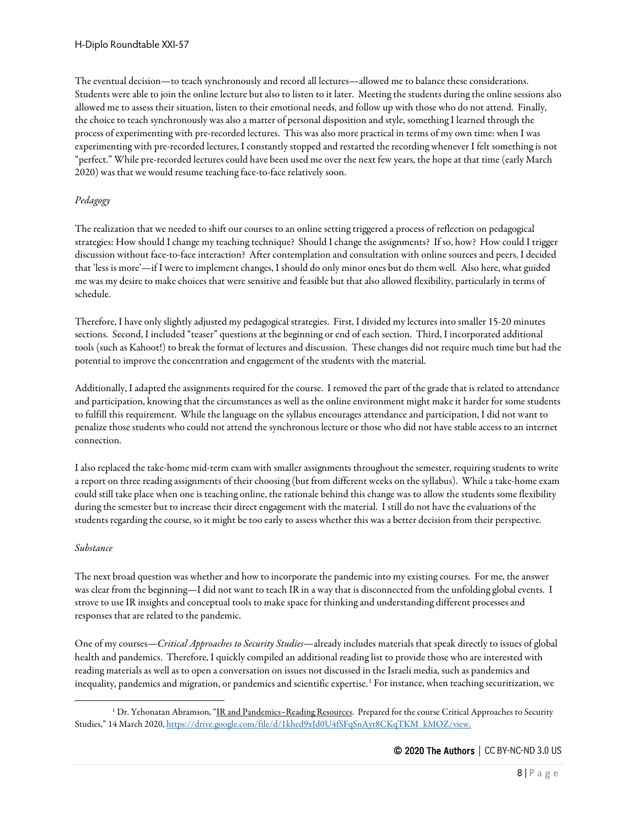The eventual decision—to teach synchronously and record all lectures—allowed me to balance these considerations. Students were able to join the online lecture but also to listen to it later. Meeting the students during the online sessions also allowed me to assess their situation, listen to their emotional needs, and follow up with those who do not attend. Finally, the choice to teach synchronously was also a matter of personal disposition and style, something I learned through the process of experimenting with pre-recorded lectures. This was also more practical in terms of my own time: when I was experimenting with pre-recorded lectures, I constantly stopped and restarted the recording whenever I felt something is not "perfect." While pre-recorded lectures could have been used me over the next few years, the hope at that time (early March 2020) was that we would resume teaching face-to-face relatively soon.

## *Pedagogy*

The realization that we needed to shift our courses to an online setting triggered a process of reflection on pedagogical strategies: How should I change my teaching technique? Should I change the assignments? If so, how? How could I trigger discussion without face-to-face interaction? After contemplation and consultation with online sources and peers, I decided that 'less is more'—if I were to implement changes, I should do only minor ones but do them well. Also here, what guided me was my desire to make choices that were sensitive and feasible but that also allowed flexibility, particularly in terms of schedule.

Therefore, I have only slightly adjusted my pedagogical strategies. First, I divided my lectures into smaller 15-20 minutes sections. Second, I included "teaser" questions at the beginning or end of each section. Third, I incorporated additional tools (such as Kahoot!) to break the format of lectures and discussion. These changes did not require much time but had the potential to improve the concentration and engagement of the students with the material.

Additionally, I adapted the assignments required for the course. I removed the part of the grade that is related to attendance and participation, knowing that the circumstances as well as the online environment might make it harder for some students to fulfill this requirement. While the language on the syllabus encourages attendance and participation, I did not want to penalize those students who could not attend the synchronous lecture or those who did not have stable access to an internet connection.

I also replaced the take-home mid-term exam with smaller assignments throughout the semester, requiring students to write a report on three reading assignments of their choosing (but from different weeks on the syllabus). While a take-home exam could still take place when one is teaching online, the rationale behind this change was to allow the students some flexibility during the semester but to increase their direct engagement with the material. I still do not have the evaluations of the students regarding the course, so it might be too early to assess whether this was a better decision from their perspective.

#### *Substance*

The next broad question was whether and how to incorporate the pandemic into my existing courses. For me, the answer was clear from the beginning—I did not want to teach IR in a way that is disconnected from the unfolding global events. I strove to use IR insights and conceptual tools to make space for thinking and understanding different processes and responses that are related to the pandemic.

One of my courses—*Critical Approaches to Security Studies*—already includes materials that speak directly to issues of global health and pandemics. Therefore, I quickly compiled an additional reading list to provide those who are interested with reading materials as well as to open a conversation on issues not discussed in the Israeli media, such as pandemics and inequality, pandemics and migration, or pandemics and scientific expertise.<sup>[1](#page-7-0)</sup> For instance, when teaching securitization, we

<span id="page-7-0"></span><sup>&</sup>lt;sup>1</sup> Dr. Yehonatan Abramson, "IR and Pandemics-Reading Resources. Prepared for the course Critical Approaches to Security Studies," 14 March 2020[, https://drive.google.com/file/d/1khed9xJd0U4fSFqSnAyt8CKqTKM\\_kMOZ/view.](https://drive.google.com/file/d/1khed9xJd0U4fSFqSnAyt8CKqTKM_kMOZ/view)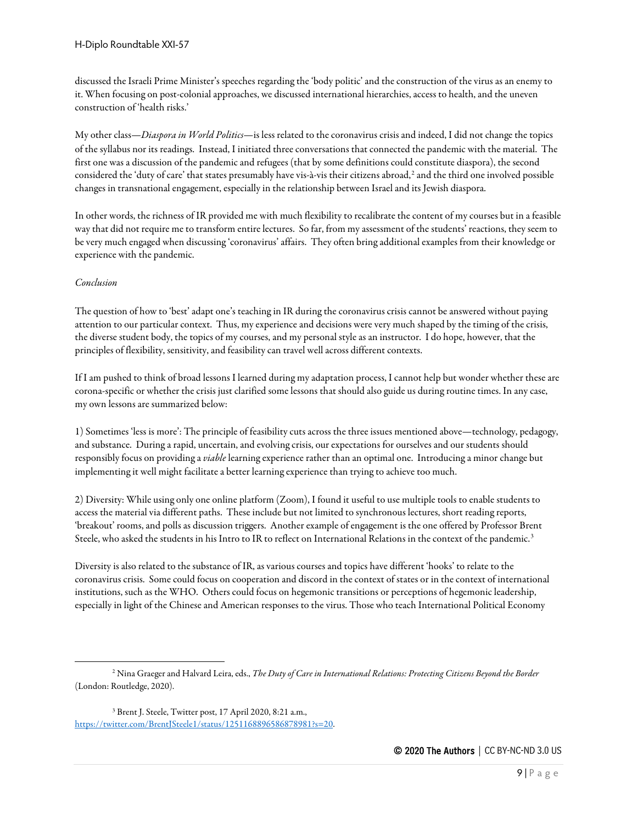discussed the Israeli Prime Minister's speeches regarding the 'body politic' and the construction of the virus as an enemy to it. When focusing on post-colonial approaches, we discussed international hierarchies, access to health, and the uneven construction of 'health risks.'

My other class—*Diaspora in World Politics*—is less related to the coronavirus crisis and indeed, I did not change the topics of the syllabus nor its readings. Instead, I initiated three conversations that connected the pandemic with the material. The first one was a discussion of the pandemic and refugees (that by some definitions could constitute diaspora), the second considered the 'duty of care' that states presumably have vis-à-vis their citizens abroad,<sup>[2](#page-8-0)</sup> and the third one involved possible changes in transnational engagement, especially in the relationship between Israel and its Jewish diaspora.

In other words, the richness of IR provided me with much flexibility to recalibrate the content of my courses but in a feasible way that did not require me to transform entire lectures. So far, from my assessment of the students' reactions, they seem to be very much engaged when discussing 'coronavirus' affairs. They often bring additional examples from their knowledge or experience with the pandemic.

# *Conclusion*

The question of how to 'best'adapt one's teaching in IR during the coronavirus crisis cannot be answered without paying attention to our particular context. Thus, my experience and decisions were very much shaped by the timing of the crisis, the diverse student body, the topics of my courses, and my personal style as an instructor. I do hope, however, that the principles of flexibility, sensitivity, and feasibility can travel well across different contexts.

If I am pushed to think of broad lessons I learned during my adaptation process, I cannot help but wonder whether these are corona-specific or whether the crisis just clarified some lessons that should also guide us during routine times. In any case, my own lessons are summarized below:

1) Sometimes 'less is more': The principle of feasibility cuts across the three issues mentioned above—technology, pedagogy, and substance. During a rapid, uncertain, and evolving crisis, our expectations for ourselves and our students should responsibly focus on providing a *viable* learning experience rather than an optimal one. Introducing a minor change but implementing it well might facilitate a better learning experience than trying to achieve too much.

2) Diversity: While using only one online platform (Zoom), I found it useful to use multiple tools to enable students to access the material via different paths. These include but not limited to synchronous lectures, short reading reports, 'breakout' rooms, and polls as discussion triggers. Another example of engagement is the one offered by Professor Brent Steele, who asked the students in his Intro to IR to reflect on International Relations in the context of the pandemic.<sup>[3](#page-8-1)</sup>

Diversity is also related to the substance of IR, as various courses and topics have different 'hooks' to relate to the coronavirus crisis. Some could focus on cooperation and discord in the context of states or in the context of international institutions, such as the WHO. Others could focus on hegemonic transitions or perceptions of hegemonic leadership, especially in light of the Chinese and American responses to the virus. Those who teach International Political Economy

<span id="page-8-0"></span><sup>2</sup> Nina Graeger and Halvard Leira, eds., *The Duty of Care in International Relations: Protecting Citizens Beyond the Border* (London: Routledge, 2020).

<span id="page-8-1"></span><sup>3</sup> Brent J. Steele, Twitter post, 17 April 2020, 8:21 a.m., [https://twitter.com/BrentJSteele1/status/1251168896586878981?s=20.](https://twitter.com/BrentJSteele1/status/1251168896586878981?s=20)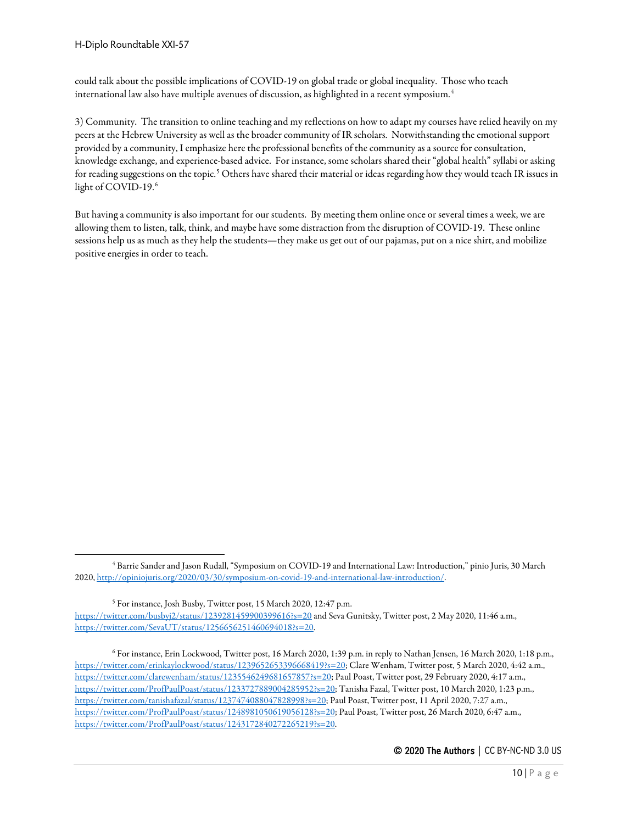could talk about the possible implications of COVID-19 on global trade or global inequality. Those who teach international law also have multiple avenues of discussion, as highlighted in a recent symposium.[4](#page-9-0)

3) Community. The transition to online teaching and my reflections on how to adapt my courses have relied heavily on my peers at the Hebrew University as well as the broader community of IR scholars. Notwithstanding the emotional support provided by a community, I emphasize here the professional benefits of the community as a source for consultation, knowledge exchange, and experience-based advice. For instance, some scholars shared their "global health" syllabi or asking for reading suggestions on the topic.<sup>[5](#page-9-1)</sup> Others have shared their material or ideas regarding how they would teach IR issues in light of COVID-19.<sup>[6](#page-9-2)</sup>

But having a community is also important for our students. By meeting them online once or several times a week, we are allowing them to listen, talk, think, and maybe have some distraction from the disruption of COVID-19. These online sessions help us as much as they help the students—they make us get out of our pajamas, put on a nice shirt, and mobilize positive energies in order to teach.

<span id="page-9-0"></span><sup>4</sup> Barrie Sander and Jason Rudall, "Symposium on COVID-19 and International Law: Introduction," pinio Juris, 30 March 2020[, http://opiniojuris.org/2020/03/30/symposium-on-covid-19-and-international-law-introduction/.](http://opiniojuris.org/2020/03/30/symposium-on-covid-19-and-international-law-introduction/)

<span id="page-9-1"></span><sup>5</sup> For instance, Josh Busby, Twitter post, 15 March 2020, 12:47 p.m. <https://twitter.com/busbyj2/status/1239281459900399616?s=20> and Seva Gunitsky, Twitter post, 2 May 2020, 11:46 a.m., [https://twitter.com/SevaUT/status/1256656251460694018?s=20.](https://twitter.com/SevaUT/status/1256656251460694018?s=20)

<span id="page-9-2"></span><sup>6</sup> For instance, Erin Lockwood, Twitter post, 16 March 2020, 1:39 p.m. in reply to Nathan Jensen, 16 March 2020, 1:18 p.m., [https://twitter.com/erinkaylockwood/status/1239652653396668419?s=20;](https://twitter.com/erinkaylockwood/status/1239652653396668419?s=20) Clare Wenham, Twitter post, 5 March 2020, 4:42 a.m., [https://twitter.com/clarewenham/status/1235546249681657857?s=20;](https://twitter.com/clarewenham/status/1235546249681657857?s=20) Paul Poast, Twitter post, 29 February 2020, 4:17 a.m., [https://twitter.com/ProfPaulPoast/status/1233727889004285952?s=20;](https://twitter.com/ProfPaulPoast/status/1233727889004285952?s=20) Tanisha Fazal, Twitter post, 10 March 2020, 1:23 p.m., [https://twitter.com/tanishafazal/status/1237474088047828998?s=20;](https://twitter.com/tanishafazal/status/1237474088047828998?s=20) Paul Poast, Twitter post, 11 April 2020, 7:27 a.m., [https://twitter.com/ProfPaulPoast/status/1248981050619056128?s=20;](https://twitter.com/ProfPaulPoast/status/1248981050619056128?s=20) Paul Poast, Twitter post, 26 March 2020, 6:47 a.m., [https://twitter.com/ProfPaulPoast/status/1243172840272265219?s=20.](https://twitter.com/ProfPaulPoast/status/1243172840272265219?s=20)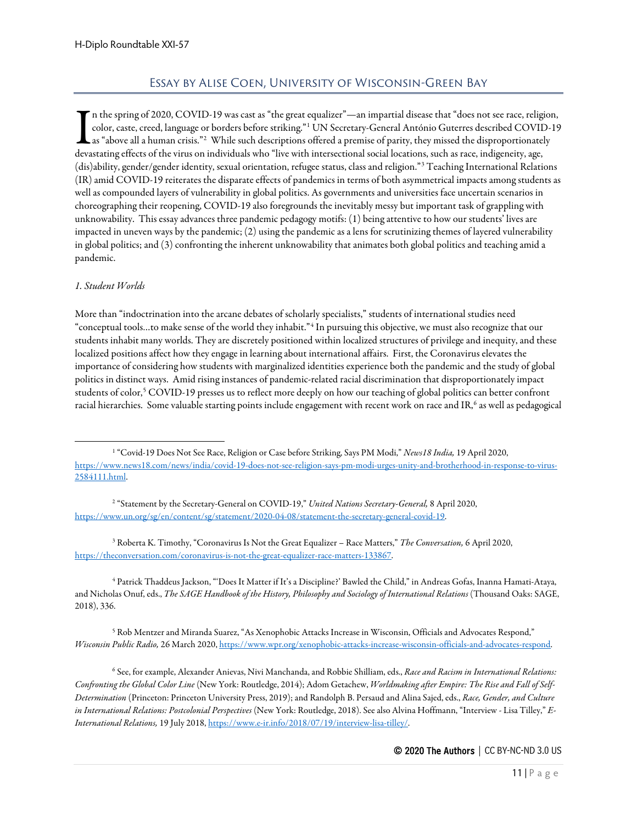# Essay by Alise Coen, University of Wisconsin-Green Bay

<span id="page-10-0"></span>n the spring of 2020, COVID-19 was cast as "the great equalizer"—an impartial disease that "does not see race, religion, color, caste, creed, language or borders before striking."<sup>[1](#page-10-1)</sup> UN Secretary-General António Guterres described COVID-19 as "above all a human crisis."<sup>[2](#page-10-2)</sup> While such descriptions offered a premise of parity, they missed the disproportionately The spring of 2020, COVID-19 was cast as "the great equalizer"—an impartial disease that "does not see race, religitions, caste, creed, language or borders before striking."<sup>1</sup> UN Secretary-General António Guterres describ (dis)ability, gender/gender identity, sexual orientation, refugee status, class and religion."[3](#page-10-3) Teaching International Relations (IR) amid COVID-19 reiterates the disparate effects of pandemics in terms of both asymmetrical impacts among students as well as compounded layers of vulnerability in global politics. As governments and universities face uncertain scenarios in choreographing their reopening, COVID-19 also foregrounds the inevitably messy but important task of grappling with unknowability. This essay advances three pandemic pedagogy motifs: (1) being attentive to how our students' lives are impacted in uneven ways by the pandemic; (2) using the pandemic as a lens for scrutinizing themes of layered vulnerability in global politics; and (3) confronting the inherent unknowability that animates both global politics and teaching amid a pandemic.

## *1. Student Worlds*

More than "indoctrination into the arcane debates of scholarly specialists," students of international studies need "conceptual tools…to make sense of the world they inhabit."[4](#page-10-4) In pursuing this objective, we must also recognize that our students inhabit many worlds. They are discretely positioned within localized structures of privilege and inequity, and these localized positions affect how they engage in learning about international affairs. First, the Coronavirus elevates the importance of considering how students with marginalized identities experience both the pandemic and the study of global politics in distinct ways. Amid rising instances of pandemic-related racial discrimination that disproportionately impact students of color,<sup>[5](#page-10-5)</sup> COVID-19 presses us to reflect more deeply on how our teaching of global politics can better confront racial hierarchies. Some valuable starting points include engagement with recent work on race and IR,<sup>[6](#page-10-6)</sup> as well as pedagogical

<span id="page-10-3"></span><sup>3</sup> Roberta K. Timothy, "Coronavirus Is Not the Great Equalizer – Race Matters," *The Conversation,* 6 April 2020, [https://theconversation.com/coronavirus-is-not-the-great-equalizer-race-matters-133867.](https://theconversation.com/coronavirus-is-not-the-great-equalizer-race-matters-133867)

<span id="page-10-4"></span><sup>4</sup> Patrick Thaddeus Jackson, "'Does It Matter if It's a Discipline?' Bawled the Child," in Andreas Gofas, Inanna Hamati-Ataya, and Nicholas Onuf, eds., *The SAGE Handbook of the History, Philosophy and Sociology of International Relations* (Thousand Oaks: SAGE, 2018), 336.

<span id="page-10-5"></span><sup>5</sup> Rob Mentzer and Miranda Suarez, "As Xenophobic Attacks Increase in Wisconsin, Officials and Advocates Respond," *Wisconsin Public Radio,* 26 March 2020[, https://www.wpr.org/xenophobic-attacks-increase-wisconsin-officials-and-advocates-respond.](https://www.wpr.org/xenophobic-attacks-increase-wisconsin-officials-and-advocates-respond)

<span id="page-10-6"></span><sup>6</sup> See, for example, Alexander Anievas, Nivi Manchanda, and Robbie Shilliam, eds., *Race and Racism in International Relations: Confronting the Global Color Line* (New York: Routledge, 2014); Adom Getachew, *Worldmaking after Empire: The Rise and Fall of Self-Determination* (Princeton: Princeton University Press, 2019); and Randolph B. Persaud and Alina Sajed, eds., *Race, Gender, and Culture in International Relations: Postcolonial Perspectives* (New York: Routledge, 2018). See also Alvina Hoffmann, "Interview - Lisa Tilley," *E-International Relations,* 19 July 2018[, https://www.e-ir.info/2018/07/19/interview-lisa-tilley/.](https://www.e-ir.info/2018/07/19/interview-lisa-tilley/)

<span id="page-10-1"></span><sup>1</sup> "Covid-19 Does Not See Race, Religion or Case before Striking, Says PM Modi," *News18 India,* 19 April 2020, [https://www.news18.com/news/india/covid-19-does-not-see-religion-says-pm-modi-urges-unity-and-brotherhood-in-response-to-virus-](https://www.news18.com/news/india/covid-19-does-not-see-religion-says-pm-modi-urges-unity-and-brotherhood-in-response-to-virus-2584111.html)[2584111.html.](https://www.news18.com/news/india/covid-19-does-not-see-religion-says-pm-modi-urges-unity-and-brotherhood-in-response-to-virus-2584111.html)

<span id="page-10-2"></span><sup>2</sup> "Statement by the Secretary-General on COVID-19," *United Nations Secretary-General,* 8 April 2020, [https://www.un.org/sg/en/content/sg/statement/2020-04-08/statement-the-secretary-general-covid-19.](https://www.un.org/sg/en/content/sg/statement/2020-04-08/statement-the-secretary-general-covid-19)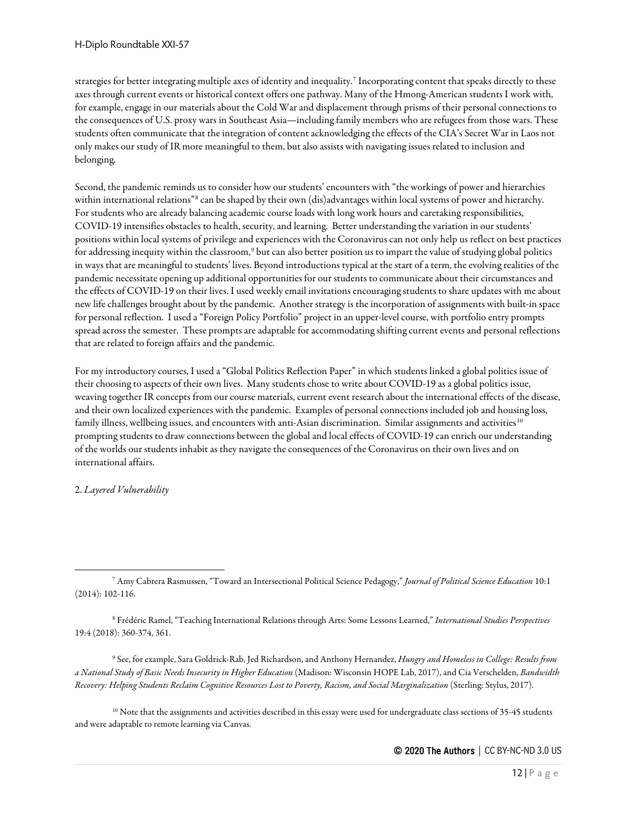strategies for better integrating multiple axes of identity and inequality[.7](#page-11-0) Incorporating content that speaks directly to these axes through current events or historical context offers one pathway. Many of the Hmong-American students I work with, for example, engage in our materials about the Cold War and displacement through prisms of their personal connections to the consequences of U.S. proxy wars in Southeast Asia—including family members who are refugees from those wars. These students often communicate that the integration of content acknowledging the effects of the CIA's Secret War in Laos not only makes our study of IR more meaningful to them, but also assists with navigating issues related to inclusion and belonging.

Second, the pandemic reminds us to consider how our students' encounters with "the workings of power and hierarchies within international relations"<sup>[8](#page-11-1)</sup> can be shaped by their own (dis)advantages within local systems of power and hierarchy. For students who are already balancing academic course loads with long work hours and caretaking responsibilities, COVID-19 intensifies obstacles to health, security, and learning. Better understanding the variation in our students' positions within local systems of privilege and experiences with the Coronavirus can not only help us reflect on best practices for addressing inequity within the classroom,<sup>[9](#page-11-2)</sup> but can also better position us to impart the value of studying global politics in ways that are meaningful to students' lives. Beyond introductions typical at the start of a term, the evolving realities of the pandemic necessitate opening up additional opportunities for our students to communicate about their circumstances and the effects of COVID-19 on their lives. I used weekly email invitations encouraging students to share updates with me about new life challenges brought about by the pandemic. Another strategy is the incorporation of assignments with built-in space for personal reflection. I used a "Foreign Policy Portfolio" project in an upper-level course, with portfolio entry prompts spread across the semester. These prompts are adaptable for accommodating shifting current events and personal reflections that are related to foreign affairs and the pandemic.

For my introductory courses, I used a "Global Politics Reflection Paper" in which students linked a global politics issue of their choosing to aspects of their own lives. Many students chose to write about COVID-19 as a global politics issue, weaving together IR concepts from our course materials, current event research about the international effects of the disease, and their own localized experiences with the pandemic. Examples of personal connections included job and housing loss, family illness, wellbeing issues, and encounters with anti-Asian discrimination. Similar assignments and activities<sup>[10](#page-11-3)</sup> prompting students to draw connections between the global and local effects of COVID-19 can enrich our understanding of the worlds our students inhabit as they navigate the consequences of the Coronavirus on their own lives and on international affairs.

## 2. *Layered Vulnerability*

<span id="page-11-1"></span><sup>8</sup> Frédéric Ramel, "Teaching International Relations through Arts: Some Lessons Learned," *International Studies Perspectives*  19:4 (2018): 360-374, 361.

<span id="page-11-2"></span><sup>9</sup> See, for example, Sara Goldrick-Rab, Jed Richardson, and Anthony Hernandez, *Hungry and Homeless in College: Results from a National Study of Basic Needs Insecurity in Higher Education* (Madison: Wisconsin HOPE Lab, 2017), and Cia Verschelden, *Bandwidth Recovery: Helping Students Reclaim Cognitive Resources Lost to Poverty, Racism, and Social Marginalization* (Sterling: Stylus, 2017).

<span id="page-11-3"></span><sup>10</sup> Note that the assignments and activities described in this essay were used for undergraduate class sections of 35-45 students and were adaptable to remote learning via Canvas.

<span id="page-11-0"></span><sup>7</sup> Amy Cabrera Rasmussen, "Toward an Intersectional Political Science Pedagogy," *Journal of Political Science Education* 10:1 (2014): 102-116.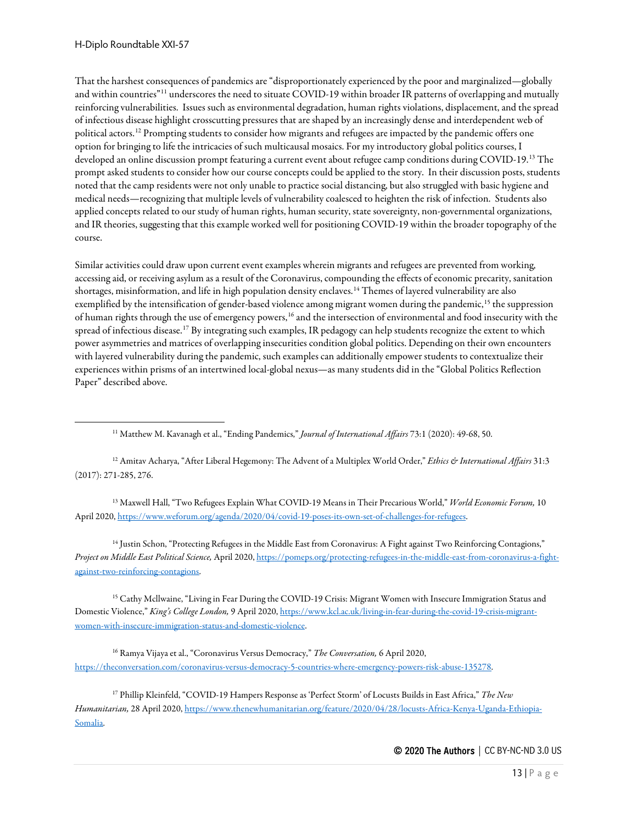That the harshest consequences of pandemics are "disproportionately experienced by the poor and marginalized—globally and within countries"<sup>[11](#page-12-0)</sup> underscores the need to situate COVID-19 within broader IR patterns of overlapping and mutually reinforcing vulnerabilities. Issues such as environmental degradation, human rights violations, displacement, and the spread of infectious disease highlight crosscutting pressures that are shaped by an increasingly dense and interdependent web of political actors.[12](#page-12-1) Prompting students to consider how migrants and refugees are impacted by the pandemic offers one option for bringing to life the intricacies of such multicausal mosaics. For my introductory global politics courses, I developed an online discussion prompt featuring a current event about refugee camp conditions during COVID-19.[13](#page-12-2) The prompt asked students to consider how our course concepts could be applied to the story. In their discussion posts, students noted that the camp residents were not only unable to practice social distancing, but also struggled with basic hygiene and medical needs—recognizing that multiple levels of vulnerability coalesced to heighten the risk of infection. Students also applied concepts related to our study of human rights, human security, state sovereignty, non-governmental organizations, and IR theories, suggesting that this example worked well for positioning COVID-19 within the broader topography of the course.

Similar activities could draw upon current event examples wherein migrants and refugees are prevented from working, accessing aid, or receiving asylum as a result of the Coronavirus, compounding the effects of economic precarity, sanitation shortages, misinformation, and life in high population density enclaves.[14](#page-12-3) Themes of layered vulnerability are also exemplified by the intensification of gender-based violence among migrant women during the pandemic,<sup>[15](#page-12-4)</sup> the suppression of human rights through the use of emergency powers,<sup>[16](#page-12-5)</sup> and the intersection of environmental and food insecurity with the spread of infectious disease.<sup>[17](#page-12-6)</sup> By integrating such examples, IR pedagogy can help students recognize the extent to which power asymmetries and matrices of overlapping insecurities condition global politics. Depending on their own encounters with layered vulnerability during the pandemic, such examples can additionally empower students to contextualize their experiences within prisms of an intertwined local-global nexus—as many students did in the "Global Politics Reflection Paper" described above.

<sup>11</sup> Matthew M. Kavanagh et al., "Ending Pandemics," *Journal of International Affairs* 73:1 (2020): 49-68, 50.

<span id="page-12-1"></span><span id="page-12-0"></span><sup>12</sup> Amitav Acharya, "After Liberal Hegemony: The Advent of a Multiplex World Order," *Ethics & International Affairs* 31:3 (2017): 271-285, 276.

<span id="page-12-2"></span><sup>13</sup> Maxwell Hall, "Two Refugees Explain What COVID-19 Means in Their Precarious World," *World Economic Forum,* 10 April 2020[, https://www.weforum.org/agenda/2020/04/covid-19-poses-its-own-set-of-challenges-for-refugees.](https://www.weforum.org/agenda/2020/04/covid-19-poses-its-own-set-of-challenges-for-refugees)

<span id="page-12-3"></span><sup>14</sup> Justin Schon, "Protecting Refugees in the Middle East from Coronavirus: A Fight against Two Reinforcing Contagions," *Project on Middle East Political Science,* April 2020[, https://pomeps.org/protecting-refugees-in-the-middle-east-from-coronavirus-a-fight](https://pomeps.org/protecting-refugees-in-the-middle-east-from-coronavirus-a-fight-against-two-reinforcing-contagions)[against-two-reinforcing-contagions.](https://pomeps.org/protecting-refugees-in-the-middle-east-from-coronavirus-a-fight-against-two-reinforcing-contagions)

<span id="page-12-4"></span><sup>15</sup> Cathy Mcllwaine, "Living in Fear During the COVID-19 Crisis: Migrant Women with Insecure Immigration Status and Domestic Violence," *King's College London,* 9 April 2020[, https://www.kcl.ac.uk/living-in-fear-during-the-covid-19-crisis-migrant](https://www.kcl.ac.uk/living-in-fear-during-the-covid-19-crisis-migrant-women-with-insecure-immigration-status-and-domestic-violence)[women-with-insecure-immigration-status-and-domestic-violence.](https://www.kcl.ac.uk/living-in-fear-during-the-covid-19-crisis-migrant-women-with-insecure-immigration-status-and-domestic-violence)

<span id="page-12-5"></span><sup>16</sup> Ramya Vijaya et al., "Coronavirus Versus Democracy," *The Conversation,* 6 April 2020, [https://theconversation.com/coronavirus-versus-democracy-5-countries-where-emergency-powers-risk-abuse-135278.](https://theconversation.com/coronavirus-versus-democracy-5-countries-where-emergency-powers-risk-abuse-135278)

<span id="page-12-6"></span><sup>17</sup> Phillip Kleinfeld, "COVID-19 Hampers Response as 'Perfect Storm' of Locusts Builds in East Africa," *The New Humanitarian,* 28 April 2020[, https://www.thenewhumanitarian.org/feature/2020/04/28/locusts-Africa-Kenya-Uganda-Ethiopia-](https://www.thenewhumanitarian.org/feature/2020/04/28/locusts-Africa-Kenya-Uganda-Ethiopia-Somalia)[Somalia.](https://www.thenewhumanitarian.org/feature/2020/04/28/locusts-Africa-Kenya-Uganda-Ethiopia-Somalia)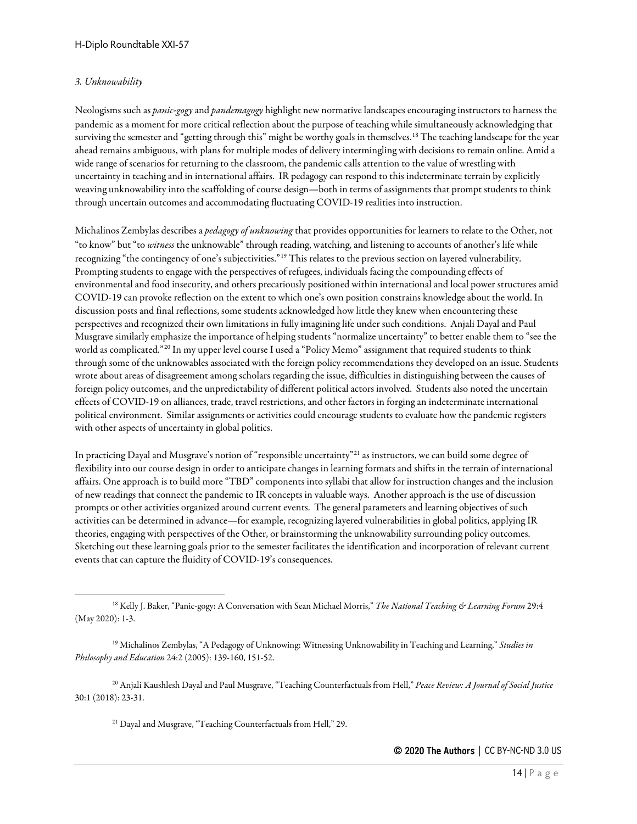## *3. Unknowability*

Neologisms such as *panic-gogy*and *pandemagogy* highlight new normative landscapes encouraging instructors to harness the pandemic as a moment for more critical reflection about the purpose of teaching while simultaneously acknowledging that surviving the semester and "getting through this" might be worthy goals in themselves.<sup>[18](#page-13-0)</sup> The teaching landscape for the year ahead remains ambiguous, with plans for multiple modes of delivery intermingling with decisions to remain online. Amid a wide range of scenarios for returning to the classroom, the pandemic calls attention to the value of wrestling with uncertainty in teaching and in international affairs. IR pedagogy can respond to this indeterminate terrain by explicitly weaving unknowability into the scaffolding of course design—both in terms of assignments that prompt students to think through uncertain outcomes and accommodating fluctuating COVID-19 realities into instruction.

Michalinos Zembylas describes a *pedagogy of unknowing* that provides opportunities for learners to relate to the Other, not "to know" but "to *witness* the unknowable" through reading, watching, and listening to accounts of another's life while recognizing "the contingency of one's subjectivities."[19](#page-13-1) This relates to the previous section on layered vulnerability. Prompting students to engage with the perspectives of refugees, individuals facing the compounding effects of environmental and food insecurity, and others precariously positioned within international and local power structures amid COVID-19 can provoke reflection on the extent to which one's own position constrains knowledge about the world. In discussion posts and final reflections, some students acknowledged how little they knew when encountering these perspectives and recognized their own limitations in fully imagining life under such conditions. Anjali Dayal and Paul Musgrave similarly emphasize the importance of helping students "normalize uncertainty" to better enable them to "see the world as complicated."<sup>[20](#page-13-2)</sup> In my upper level course I used a "Policy Memo" assignment that required students to think through some of the unknowables associated with the foreign policy recommendations they developed on an issue. Students wrote about areas of disagreement among scholars regarding the issue, difficulties in distinguishing between the causes of foreign policy outcomes, and the unpredictability of different political actors involved. Students also noted the uncertain effects of COVID-19 on alliances, trade, travel restrictions, and other factors in forging an indeterminate international political environment. Similar assignments or activities could encourage students to evaluate how the pandemic registers with other aspects of uncertainty in global politics.

In practicing Dayal and Musgrave's notion of "responsible uncertainty"<sup>[21](#page-13-3)</sup> as instructors, we can build some degree of flexibility into our course design in order to anticipate changes in learning formats and shifts in the terrain of international affairs. One approach is to build more "TBD" components into syllabi that allow for instruction changes and the inclusion of new readings that connect the pandemic to IR concepts in valuable ways. Another approach is the use of discussion prompts or other activities organized around current events. The general parameters and learning objectives of such activities can be determined in advance—for example, recognizing layered vulnerabilities in global politics, applying IR theories, engaging with perspectives of the Other, or brainstorming the unknowability surrounding policy outcomes. Sketching out these learning goals prior to the semester facilitates the identification and incorporation of relevant current events that can capture the fluidity of COVID-19's consequences.

<span id="page-13-3"></span><span id="page-13-2"></span><sup>20</sup> Anjali Kaushlesh Dayal and Paul Musgrave, "Teaching Counterfactuals from Hell," *Peace Review: A Journal of Social Justice*  30:1 (2018): 23-31.

<sup>21</sup> Dayal and Musgrave, "Teaching Counterfactuals from Hell," 29.

<span id="page-13-0"></span><sup>18</sup> Kelly J. Baker, "Panic-gogy: A Conversation with Sean Michael Morris," *The National Teaching & Learning Forum* 29:4 (May 2020): 1-3.

<span id="page-13-1"></span><sup>19</sup> Michalinos Zembylas, "A Pedagogy of Unknowing: Witnessing Unknowability in Teaching and Learning," *Studies in Philosophy and Education* 24:2 (2005): 139-160, 151-52.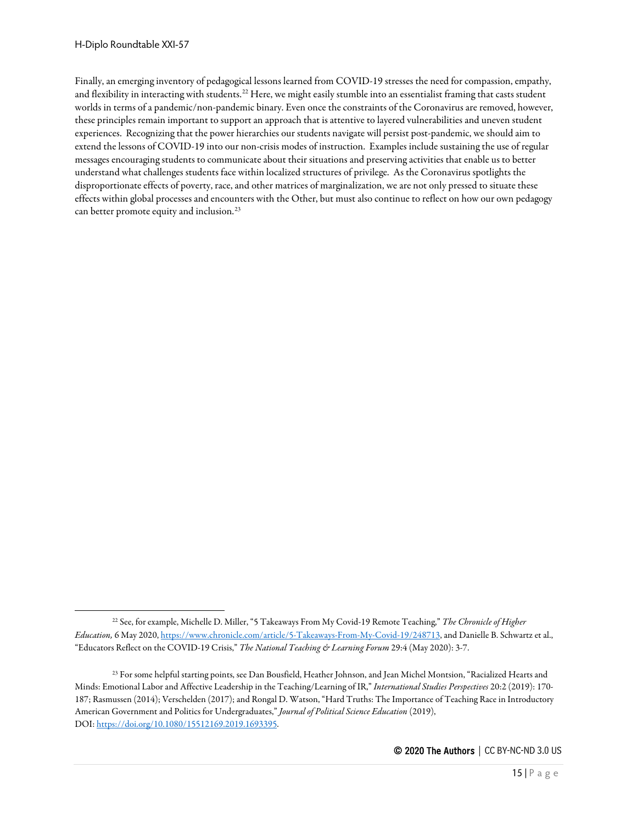Finally, an emerging inventory of pedagogical lessons learned from COVID-19 stresses the need for compassion, empathy, and flexibility in interacting with students.<sup>[22](#page-14-0)</sup> Here, we might easily stumble into an essentialist framing that casts student worlds in terms of a pandemic/non-pandemic binary. Even once the constraints of the Coronavirus are removed, however, these principles remain important to support an approach that is attentive to layered vulnerabilities and uneven student experiences. Recognizing that the power hierarchies our students navigate will persist post-pandemic, we should aim to extend the lessons of COVID-19 into our non-crisis modes of instruction. Examples include sustaining the use of regular messages encouraging students to communicate about their situations and preserving activities that enable us to better understand what challenges students face within localized structures of privilege. As the Coronavirus spotlights the disproportionate effects of poverty, race, and other matrices of marginalization, we are not only pressed to situate these effects within global processes and encounters with the Other, but must also continue to reflect on how our own pedagogy can better promote equity and inclusion.<sup>[23](#page-14-1)</sup>

<span id="page-14-0"></span><sup>22</sup> See, for example, Michelle D. Miller, "5 Takeaways From My Covid-19 Remote Teaching," *The Chronicle of Higher Education,* 6 May 2020[, https://www.chronicle.com/article/5-Takeaways-From-My-Covid-19/248713,](https://www.chronicle.com/article/5-Takeaways-From-My-Covid-19/248713) and Danielle B. Schwartz et al., "Educators Reflect on the COVID-19 Crisis," *The National Teaching & Learning Forum* 29:4 (May 2020): 3-7.

<span id="page-14-1"></span><sup>&</sup>lt;sup>23</sup> For some helpful starting points, see Dan Bousfield, Heather Johnson, and Jean Michel Montsion, "Racialized Hearts and Minds: Emotional Labor and Affective Leadership in the Teaching/Learning of IR," *International Studies Perspectives* 20:2 (2019): 170- 187; Rasmussen (2014); Verschelden (2017); and Rongal D. Watson, "Hard Truths: The Importance of Teaching Race in Introductory American Government and Politics for Undergraduates," *Journal of Political Science Education* (2019), DOI: [https://doi.org/10.1080/15512169.2019.1693395.](https://doi.org/10.1080/15512169.2019.1693395)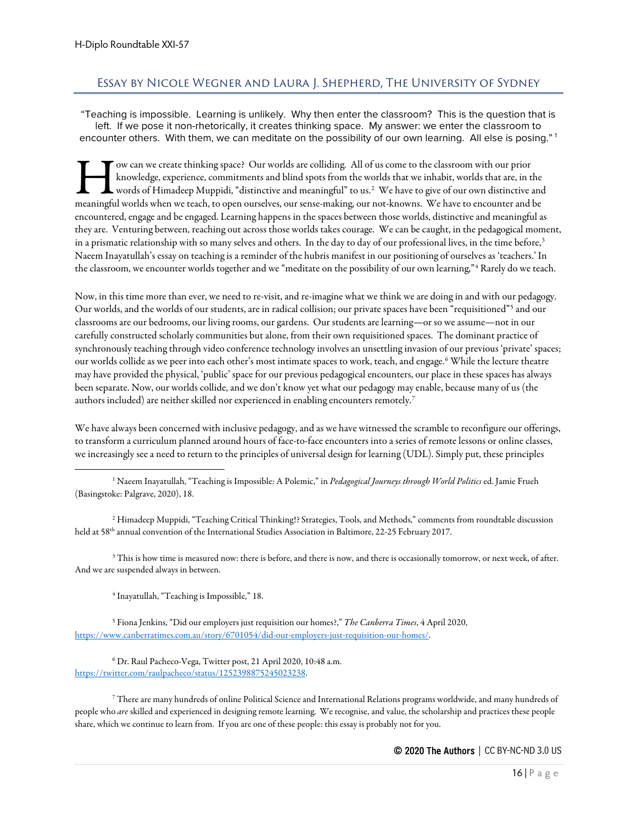# <span id="page-15-0"></span>Essay by Nicole Wegner and Laura J. Shepherd, The University of Sydney

"Teaching is impossible. Learning is unlikely. Why then enter the classroom? This is the question that is left. If we pose it non-rhetorically, it creates thinking space. My answer: we enter the classroom to encounter others. With them, we can meditate on the possibility of our own learning. All else is posing."<sup>[1](#page-15-1)</sup>

ow can we create thinking space? Our worlds are colliding. All of us come to the classroom with our prior knowledge, experience, commitments and blind spots from the worlds that we inhabit, worlds that are, in the words of Himadeep Muppidi, "distinctive and meaningful" to us.<sup>[2](#page-15-2)</sup> We have to give of our own distinctive and I wo can we create thinking space? Our worlds are colliding. All of us come to the classroom with our prior knowledge, experience, commitments and blind spots from the worlds that we inhabit, worlds that are, in the words encountered, engage and be engaged. Learning happens in the spaces between those worlds, distinctive and meaningful as they are. Venturing between, reaching out across those worlds takes courage. We can be caught, in the pedagogical moment, in a prismatic relationship with so many selves and others. In the day to day of our professional lives, in the time before,<sup>[3](#page-15-3)</sup> Naeem Inayatullah's essay on teaching is a reminder of the hubris manifest in our positioning of ourselves as 'teachers.' In the classroom, we encounter worlds together and we "meditate on the possibility of our own learning,"<sup>[4](#page-15-4)</sup> Rarely do we teach.

Now, in this time more than ever, we need to re-visit, and re-imagine what we think we are doing in and with our pedagogy. Our worlds, and the worlds of our students, are in radical collision; our private spaces have been "requisitioned"[5](#page-15-5) and our classrooms are our bedrooms, our living rooms, our gardens. Our students are learning—or so we assume—not in our carefully constructed scholarly communities but alone, from their own requisitioned spaces. The dominant practice of synchronously teaching through video conference technology involves an unsettling invasion of our previous 'private' spaces; our worlds collide as we peer into each other's most intimate spaces to work, teach, and engage.[6](#page-15-6) While the lecture theatre may have provided the physical, 'public' space for our previous pedagogical encounters, our place in these spaces has always been separate. Now, our worlds collide, and we don't know yet what our pedagogy may enable, because many of us (the authors included) are neither skilled nor experienced in enabling encounters remotely.<sup>[7](#page-15-7)</sup>

We have always been concerned with inclusive pedagogy, and as we have witnessed the scramble to reconfigure our offerings, to transform a curriculum planned around hours of face-to-face encounters into a series of remote lessons or online classes, we increasingly see a need to return to the principles of universal design for learning (UDL). Simply put, these principles

<span id="page-15-1"></span><sup>1</sup> Naeem Inayatullah, "Teaching is Impossible: A Polemic," in *Pedagogical Journeys through World Politics*ed. Jamie Frueh (Basingstoke: Palgrave, 2020), 18.

<span id="page-15-2"></span><sup>2</sup> Himadeep Muppidi, "Teaching Critical Thinking!? Strategies, Tools, and Methods," comments from roundtable discussion held at 58<sup>th</sup> annual convention of the International Studies Association in Baltimore, 22-25 February 2017.

<span id="page-15-3"></span> $3$  This is how time is measured now: there is before, and there is now, and there is occasionally tomorrow, or next week, of after. And we are suspended always in between.

<sup>4</sup> Inayatullah, "Teaching is Impossible," 18.

<span id="page-15-5"></span><span id="page-15-4"></span><sup>5</sup> Fiona Jenkins, "Did our employers just requisition our homes?," *The Canberra Times*, 4 April 2020, [https://www.canberratimes.com.au/story/6701054/did-our-employers-just-requisition-our-homes/.](https://www.canberratimes.com.au/story/6701054/did-our-employers-just-requisition-our-homes/)

<span id="page-15-6"></span><sup>6</sup> Dr. Raul Pacheco-Vega, Twitter post, 21 April 2020, 10:48 a.m. [https://twitter.com/raulpacheco/status/1252398875245023238.](https://twitter.com/raulpacheco/status/1252398875245023238) 

<span id="page-15-7"></span><sup>7</sup> There are many hundreds of online Political Science and International Relations programs worldwide, and many hundreds of people who *are* skilled and experienced in designing remote learning. We recognise, and value, the scholarship and practices these people share, which we continue to learn from. If you are one of these people: this essay is probably not for you.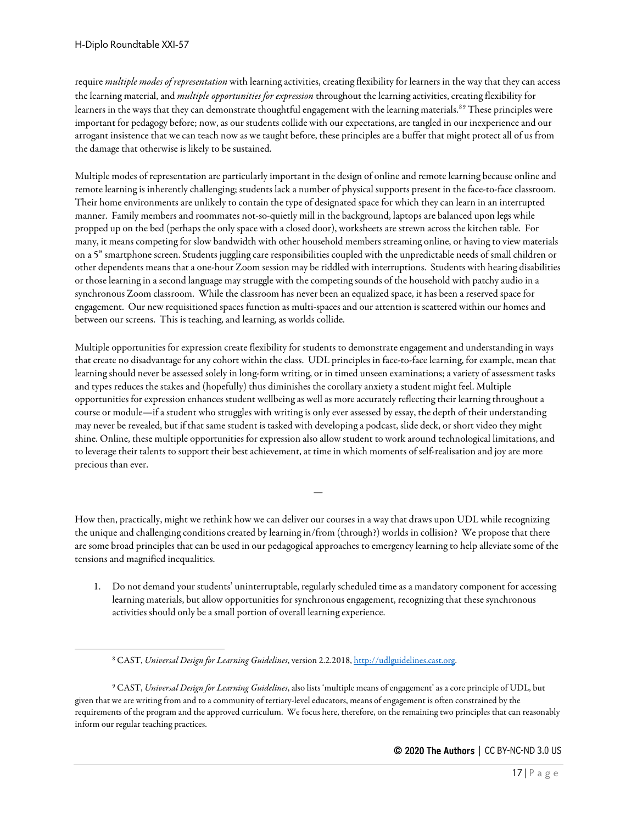require *multiple modes of representation* with learning activities, creating flexibility for learners in the way that they can access the learning material, and *multiple opportunities for expression* throughout the learning activities, creating flexibility for learners in the ways that they can demonstrate thoughtful engagement with the learning materials.<sup>[8](#page-16-0)[9](#page-16-1)</sup> These principles were important for pedagogy before; now, as our students collide with our expectations, are tangled in our inexperience and our arrogant insistence that we can teach now as we taught before, these principles are a buffer that might protect all of us from the damage that otherwise is likely to be sustained.

Multiple modes of representation are particularly important in the design of online and remote learning because online and remote learning is inherently challenging; students lack a number of physical supports present in the face-to-face classroom. Their home environments are unlikely to contain the type of designated space for which they can learn in an interrupted manner. Family members and roommates not-so-quietly mill in the background, laptops are balanced upon legs while propped up on the bed (perhaps the only space with a closed door), worksheets are strewn across the kitchen table. For many, it means competing for slow bandwidth with other household members streaming online, or having to view materials on a 5" smartphone screen. Students juggling care responsibilities coupled with the unpredictable needs of small children or other dependents means that a one-hour Zoom session may be riddled with interruptions. Students with hearing disabilities or those learning in a second language may struggle with the competing sounds of the household with patchy audio in a synchronous Zoom classroom. While the classroom has never been an equalized space, it has been a reserved space for engagement. Our new requisitioned spaces function as multi-spaces and our attention is scattered within our homes and between our screens. This is teaching, and learning, as worlds collide.

Multiple opportunities for expression create flexibility for students to demonstrate engagement and understanding in ways that create no disadvantage for any cohort within the class. UDL principles in face-to-face learning, for example, mean that learning should never be assessed solely in long-form writing, or in timed unseen examinations; a variety of assessment tasks and types reduces the stakes and (hopefully) thus diminishes the corollary anxiety a student might feel. Multiple opportunities for expression enhances student wellbeing as well as more accurately reflecting their learning throughout a course or module—if a student who struggles with writing is only ever assessed by essay, the depth of their understanding may never be revealed, but if that same student is tasked with developing a podcast, slide deck, or short video they might shine. Online, these multiple opportunities for expression also allow student to work around technological limitations, and to leverage their talents to support their best achievement, at time in which moments of self-realisation and joy are more precious than ever.

How then, practically, might we rethink how we can deliver our courses in a way that draws upon UDL while recognizing the unique and challenging conditions created by learning in/from (through?) worlds in collision? We propose that there are some broad principles that can be used in our pedagogical approaches to emergency learning to help alleviate some of the tensions and magnified inequalities.

—

1. Do not demand your students' uninterruptable, regularly scheduled time as a mandatory component for accessing learning materials, but allow opportunities for synchronous engagement, recognizing that these synchronous activities should only be a small portion of overall learning experience.

<sup>8</sup> CAST, *Universal Design for Learning Guidelines*, version 2.2.2018[, http://udlguidelines.cast.org.](http://udlguidelines.cast.org/)

<span id="page-16-1"></span><span id="page-16-0"></span><sup>9</sup> CAST, *Universal Design for Learning Guidelines*, also lists 'multiple means of engagement' as a core principle of UDL, but given that we are writing from and to a community of tertiary-level educators, means of engagement is often constrained by the requirements of the program and the approved curriculum. We focus here, therefore, on the remaining two principles that can reasonably inform our regular teaching practices.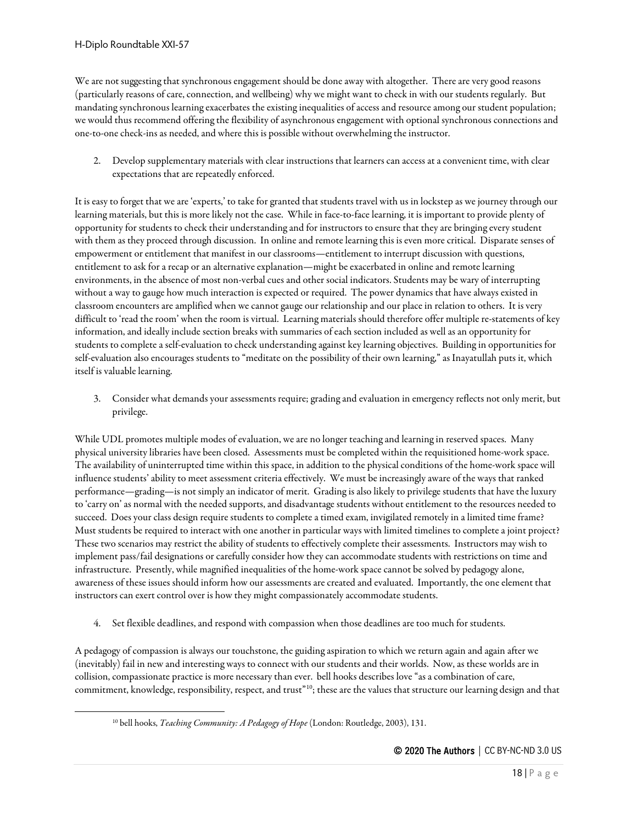We are not suggesting that synchronous engagement should be done away with altogether. There are very good reasons (particularly reasons of care, connection, and wellbeing) why we might want to check in with our students regularly. But mandating synchronous learning exacerbates the existing inequalities of access and resource among our student population; we would thus recommend offering the flexibility of asynchronous engagement with optional synchronous connections and one-to-one check-ins as needed, and where this is possible without overwhelming the instructor.

2. Develop supplementary materials with clear instructions that learners can access at a convenient time, with clear expectations that are repeatedly enforced.

It is easy to forget that we are 'experts,' to take for granted that students travel with us in lockstep as we journey through our learning materials, but this is more likely not the case. While in face-to-face learning, it is important to provide plenty of opportunity for students to check their understanding and for instructors to ensure that they are bringing every student with them as they proceed through discussion. In online and remote learning this is even more critical. Disparate senses of empowerment or entitlement that manifest in our classrooms—entitlement to interrupt discussion with questions, entitlement to ask for a recap or an alternative explanation—might be exacerbated in online and remote learning environments, in the absence of most non-verbal cues and other social indicators. Students may be wary of interrupting without a way to gauge how much interaction is expected or required. The power dynamics that have always existed in classroom encounters are amplified when we cannot gauge our relationship and our place in relation to others. It is very difficult to 'read the room' when the room is virtual. Learning materials should therefore offer multiple re-statements of key information, and ideally include section breaks with summaries of each section included as well as an opportunity for students to complete a self-evaluation to check understanding against key learning objectives. Building in opportunities for self-evaluation also encourages students to "meditate on the possibility of their own learning," as Inayatullah puts it, which itself is valuable learning.

3. Consider what demands your assessments require; grading and evaluation in emergency reflects not only merit, but privilege.

While UDL promotes multiple modes of evaluation, we are no longer teaching and learning in reserved spaces. Many physical university libraries have been closed. Assessments must be completed within the requisitioned home-work space. The availability of uninterrupted time within this space, in addition to the physical conditions of the home-work space will influence students' ability to meet assessment criteria effectively. We must be increasingly aware of the ways that ranked performance—grading—is not simply an indicator of merit. Grading is also likely to privilege students that have the luxury to 'carry on' as normal with the needed supports, and disadvantage students without entitlement to the resources needed to succeed. Does your class design require students to complete a timed exam, invigilated remotely in a limited time frame? Must students be required to interact with one another in particular ways with limited timelines to complete a joint project? These two scenarios may restrict the ability of students to effectively complete their assessments. Instructors may wish to implement pass/fail designations or carefully consider how they can accommodate students with restrictions on time and infrastructure. Presently, while magnified inequalities of the home-work space cannot be solved by pedagogy alone, awareness of these issues should inform how our assessments are created and evaluated. Importantly, the one element that instructors can exert control over is how they might compassionately accommodate students.

4. Set flexible deadlines, and respond with compassion when those deadlines are too much for students.

<span id="page-17-0"></span>A pedagogy of compassion is always our touchstone, the guiding aspiration to which we return again and again after we (inevitably) fail in new and interesting ways to connect with our students and their worlds. Now, as these worlds are in collision, compassionate practice is more necessary than ever. bell hooks describes love "as a combination of care, commitment, knowledge, responsibility, respect, and trust"[10](#page-17-0); these are the values that structure our learning design and that

<sup>10</sup> bell hooks, *Teaching Community: A Pedagogy of Hope* (London: Routledge, 2003), 131.